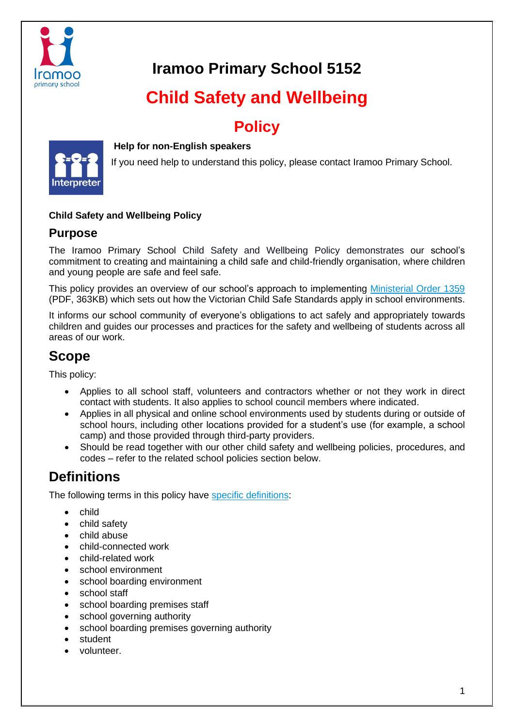

# **Iramoo Primary School 5152**

# **Child Safety and Wellbeing**

# **Policy**



#### **Help for non-English speakers**

If you need help to understand this policy, please contact Iramoo Primary School.

#### **Child Safety and Wellbeing Policy**

#### **Purpose**

The Iramoo Primary School Child Safety and Wellbeing Policy demonstrates our school's commitment to creating and maintaining a child safe and child-friendly organisation, where children and young people are safe and feel safe.

This policy provides an overview of our school's approach to implementing [Ministerial Order 1359](https://www.education.vic.gov.au/Documents/about/programs/health/protect/Ministerial_Order.pdf) (PDF, 363KB) which sets out how the Victorian Child Safe Standards apply in school environments.

It informs our school community of everyone's obligations to act safely and appropriately towards children and guides our processes and practices for the safety and wellbeing of students across all areas of our work.

### **Scope**

This policy:

- Applies to all school staff, volunteers and contractors whether or not they work in direct contact with students. It also applies to school council members where indicated.
- Applies in all physical and online school environments used by students during or outside of school hours, including other locations provided for a student's use (for example, a school camp) and those provided through third-party providers.
- Should be read together with our other child safety and wellbeing policies, procedures, and codes – refer to the related school policies section below.

# **Definitions**

The following terms in this policy have [specific definitions:](https://www.vic.gov.au/child-safe-standards-definitions)

- child
- child safety
- child abuse
- child-connected work
- child-related work
- school environment
- school boarding environment
- school staff
- school boarding premises staff
- school governing authority
- school boarding premises governing authority
- student
- volunteer.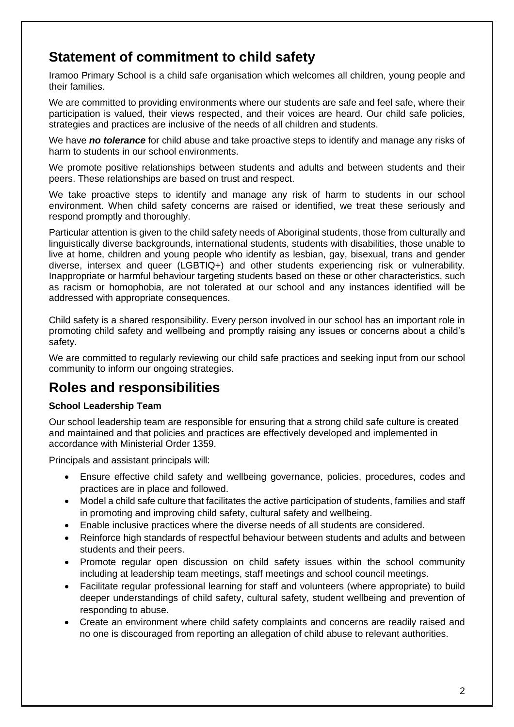## **Statement of commitment to child safety**

Iramoo Primary School is a child safe organisation which welcomes all children, young people and their families.

We are committed to providing environments where our students are safe and feel safe, where their participation is valued, their views respected, and their voices are heard. Our child safe policies, strategies and practices are inclusive of the needs of all children and students.

We have *no tolerance* for child abuse and take proactive steps to identify and manage any risks of harm to students in our school environments.

We promote positive relationships between students and adults and between students and their peers. These relationships are based on trust and respect.

We take proactive steps to identify and manage any risk of harm to students in our school environment. When child safety concerns are raised or identified, we treat these seriously and respond promptly and thoroughly.

Particular attention is given to the child safety needs of Aboriginal students, those from culturally and linguistically diverse backgrounds, international students, students with disabilities, those unable to live at home, children and young people who identify as lesbian, gay, bisexual, trans and gender diverse, intersex and queer (LGBTIQ+) and other students experiencing risk or vulnerability. Inappropriate or harmful behaviour targeting students based on these or other characteristics, such as racism or homophobia, are not tolerated at our school and any instances identified will be addressed with appropriate consequences.

Child safety is a shared responsibility. Every person involved in our school has an important role in promoting child safety and wellbeing and promptly raising any issues or concerns about a child's safety.

We are committed to regularly reviewing our child safe practices and seeking input from our school community to inform our ongoing strategies.

### **Roles and responsibilities**

#### **School Leadership Team**

Our school leadership team are responsible for ensuring that a strong child safe culture is created and maintained and that policies and practices are effectively developed and implemented in accordance with Ministerial Order 1359.

Principals and assistant principals will:

- Ensure effective child safety and wellbeing governance, policies, procedures, codes and practices are in place and followed.
- Model a child safe culture that facilitates the active participation of students, families and staff in promoting and improving child safety, cultural safety and wellbeing.
- Enable inclusive practices where the diverse needs of all students are considered.
- Reinforce high standards of respectful behaviour between students and adults and between students and their peers.
- Promote regular open discussion on child safety issues within the school community including at leadership team meetings, staff meetings and school council meetings.
- Facilitate regular professional learning for staff and volunteers (where appropriate) to build deeper understandings of child safety, cultural safety, student wellbeing and prevention of responding to abuse.
- Create an environment where child safety complaints and concerns are readily raised and no one is discouraged from reporting an allegation of child abuse to relevant authorities.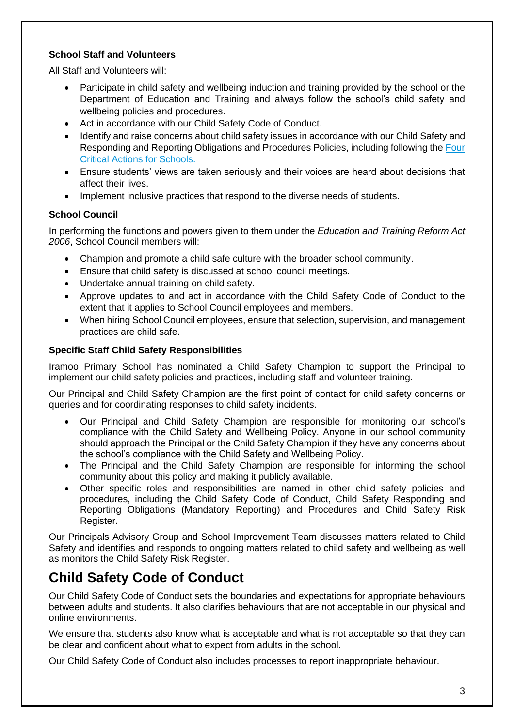#### **School Staff and Volunteers**

All Staff and Volunteers will:

- Participate in child safety and wellbeing induction and training provided by the school or the Department of Education and Training and always follow the school's child safety and wellbeing policies and procedures.
- Act in accordance with our Child Safety Code of Conduct.
- Identify and raise concerns about child safety issues in accordance with our Child Safety and Responding and Reporting Obligations and Procedures Policies, including following the [Four](https://www.education.vic.gov.au/school/teachers/health/childprotection/Pages/report.aspx)  [Critical Actions for Schools.](https://www.education.vic.gov.au/school/teachers/health/childprotection/Pages/report.aspx)
- Ensure students' views are taken seriously and their voices are heard about decisions that affect their lives.
- Implement inclusive practices that respond to the diverse needs of students.

#### **School Council**

In performing the functions and powers given to them under the *Education and Training Reform Act 2006*, School Council members will:

- Champion and promote a child safe culture with the broader school community.
- Ensure that child safety is discussed at school council meetings.
- Undertake annual training on child safety.
- Approve updates to and act in accordance with the Child Safety Code of Conduct to the extent that it applies to School Council employees and members.
- When hiring School Council employees, ensure that selection, supervision, and management practices are child safe.

#### **Specific Staff Child Safety Responsibilities**

Iramoo Primary School has nominated a Child Safety Champion to support the Principal to implement our child safety policies and practices, including staff and volunteer training.

Our Principal and Child Safety Champion are the first point of contact for child safety concerns or queries and for coordinating responses to child safety incidents.

- Our Principal and Child Safety Champion are responsible for monitoring our school's compliance with the Child Safety and Wellbeing Policy. Anyone in our school community should approach the Principal or the Child Safety Champion if they have any concerns about the school's compliance with the Child Safety and Wellbeing Policy.
- The Principal and the Child Safety Champion are responsible for informing the school community about this policy and making it publicly available.
- Other specific roles and responsibilities are named in other child safety policies and procedures, including the Child Safety Code of Conduct, Child Safety Responding and Reporting Obligations (Mandatory Reporting) and Procedures and Child Safety Risk Register.

Our Principals Advisory Group and School Improvement Team discusses matters related to Child Safety and identifies and responds to ongoing matters related to child safety and wellbeing as well as monitors the Child Safety Risk Register.

### **Child Safety Code of Conduct**

Our Child Safety Code of Conduct sets the boundaries and expectations for appropriate behaviours between adults and students. It also clarifies behaviours that are not acceptable in our physical and online environments.

We ensure that students also know what is acceptable and what is not acceptable so that they can be clear and confident about what to expect from adults in the school.

Our Child Safety Code of Conduct also includes processes to report inappropriate behaviour.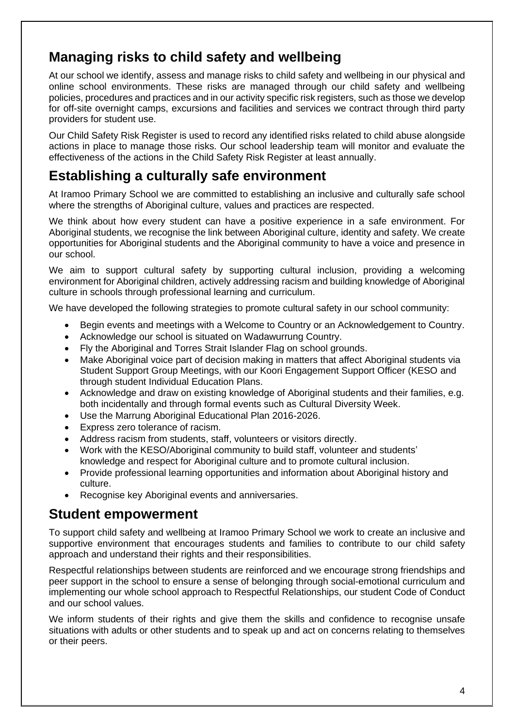# **Managing risks to child safety and wellbeing**

At our school we identify, assess and manage risks to child safety and wellbeing in our physical and online school environments. These risks are managed through our child safety and wellbeing policies, procedures and practices and in our activity specific risk registers, such as those we develop for off-site overnight camps, excursions and facilities and services we contract through third party providers for student use.

Our Child Safety Risk Register is used to record any identified risks related to child abuse alongside actions in place to manage those risks. Our school leadership team will monitor and evaluate the effectiveness of the actions in the Child Safety Risk Register at least annually.

### **Establishing a culturally safe environment**

At Iramoo Primary School we are committed to establishing an inclusive and culturally safe school where the strengths of Aboriginal culture, values and practices are respected.

We think about how every student can have a positive experience in a safe environment. For Aboriginal students, we recognise the link between Aboriginal culture, identity and safety. We create opportunities for Aboriginal students and the Aboriginal community to have a voice and presence in our school.

We aim to support cultural safety by supporting cultural inclusion, providing a welcoming environment for Aboriginal children, actively addressing racism and building knowledge of Aboriginal culture in schools through professional learning and curriculum.

We have developed the following strategies to promote cultural safety in our school community:

- Begin events and meetings with a Welcome to Country or an Acknowledgement to Country.
- Acknowledge our school is situated on Wadawurrung Country.
- Fly the Aboriginal and Torres Strait Islander Flag on school grounds.
- Make Aboriginal voice part of decision making in matters that affect Aboriginal students via Student Support Group Meetings, with our Koori Engagement Support Officer (KESO and through student Individual Education Plans.
- Acknowledge and draw on existing knowledge of Aboriginal students and their families, e.g. both incidentally and through formal events such as Cultural Diversity Week.
- Use the Marrung Aboriginal Educational Plan 2016-2026.
- Express zero tolerance of racism.
- Address racism from students, staff, volunteers or visitors directly.
- Work with the KESO/Aboriginal community to build staff, volunteer and students' knowledge and respect for Aboriginal culture and to promote cultural inclusion.
- Provide professional learning opportunities and information about Aboriginal history and culture.
- Recognise key Aboriginal events and anniversaries.

#### **Student empowerment**

To support child safety and wellbeing at Iramoo Primary School we work to create an inclusive and supportive environment that encourages students and families to contribute to our child safety approach and understand their rights and their responsibilities.

Respectful relationships between students are reinforced and we encourage strong friendships and peer support in the school to ensure a sense of belonging through social-emotional curriculum and implementing our whole school approach to Respectful Relationships, our student Code of Conduct and our school values.

We inform students of their rights and give them the skills and confidence to recognise unsafe situations with adults or other students and to speak up and act on concerns relating to themselves or their peers.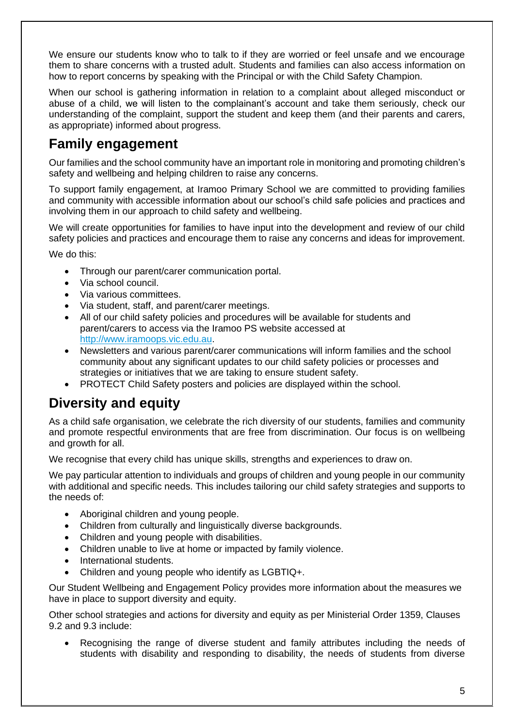We ensure our students know who to talk to if they are worried or feel unsafe and we encourage them to share concerns with a trusted adult. Students and families can also access information on how to report concerns by speaking with the Principal or with the Child Safety Champion.

When our school is gathering information in relation to a complaint about alleged misconduct or abuse of a child, we will listen to the complainant's account and take them seriously, check our understanding of the complaint, support the student and keep them (and their parents and carers, as appropriate) informed about progress.

### **Family engagement**

Our families and the school community have an important role in monitoring and promoting children's safety and wellbeing and helping children to raise any concerns.

To support family engagement, at Iramoo Primary School we are committed to providing families and community with accessible information about our school's child safe policies and practices and involving them in our approach to child safety and wellbeing.

We will create opportunities for families to have input into the development and review of our child safety policies and practices and encourage them to raise any concerns and ideas for improvement.

We do this:

- Through our parent/carer communication portal.
- Via school council.
- Via various committees.
- Via student, staff, and parent/carer meetings.
- All of our child safety policies and procedures will be available for students and parent/carers to access via the Iramoo PS website accessed at [http://www.iramoops.vic.edu.au.](http://www.iramoops.vic.edu.au/)
- Newsletters and various parent/carer communications will inform families and the school community about any significant updates to our child safety policies or processes and strategies or initiatives that we are taking to ensure student safety.
- PROTECT Child Safety posters and policies are displayed within the school.

### **Diversity and equity**

As a child safe organisation, we celebrate the rich diversity of our students, families and community and promote respectful environments that are free from discrimination. Our focus is on wellbeing and growth for all.

We recognise that every child has unique skills, strengths and experiences to draw on.

We pay particular attention to individuals and groups of children and young people in our community with additional and specific needs. This includes tailoring our child safety strategies and supports to the needs of:

- Aboriginal children and young people.
- Children from culturally and linguistically diverse backgrounds.
- Children and young people with disabilities.
- Children unable to live at home or impacted by family violence.
- International students.
- Children and young people who identify as LGBTIQ+.

Our Student Wellbeing and Engagement Policy provides more information about the measures we have in place to support diversity and equity.

Other school strategies and actions for diversity and equity as per Ministerial Order 1359, Clauses 9.2 and 9.3 include:

Recognising the range of diverse student and family attributes including the needs of students with disability and responding to disability, the needs of students from diverse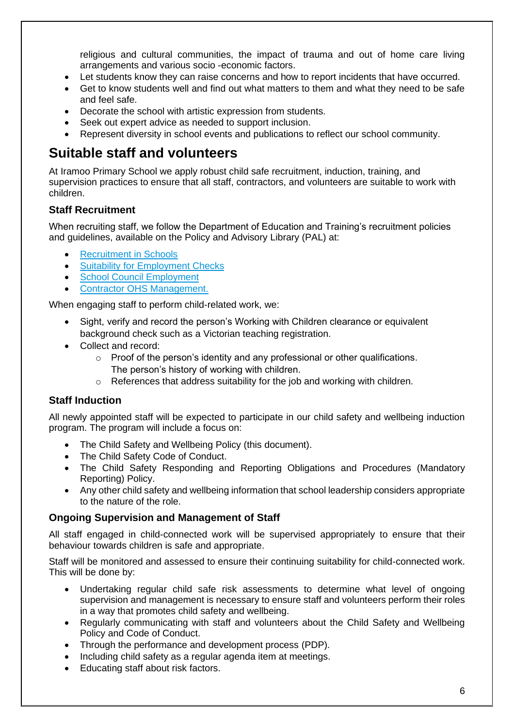religious and cultural communities, the impact of trauma and out of home care living arrangements and various socio -economic factors.

- Let students know they can raise concerns and how to report incidents that have occurred.
- Get to know students well and find out what matters to them and what they need to be safe and feel safe.
- Decorate the school with artistic expression from students.
- Seek out expert advice as needed to support inclusion.
- Represent diversity in school events and publications to reflect our school community.

#### **Suitable staff and volunteers**

At Iramoo Primary School we apply robust child safe recruitment, induction, training, and supervision practices to ensure that all staff, contractors, and volunteers are suitable to work with children.

#### **Staff Recruitment**

When recruiting staff, we follow the Department of Education and Training's recruitment policies and guidelines, available on the Policy and Advisory Library (PAL) at:

- **[Recruitment in Schools](https://www2.education.vic.gov.au/pal/recruitment-schools/overview)**
- [Suitability for Employment Checks](https://www2.education.vic.gov.au/pal/suitability-employment-checks/overview)
- [School Council Employment](https://www2.education.vic.gov.au/pal/school-council-employment/overview)
- [Contractor OHS Management.](https://www2.education.vic.gov.au/pal/contractor-ohs-management/policy)

When engaging staff to perform child-related work, we:

- Sight, verify and record the person's Working with Children clearance or equivalent background check such as a Victorian teaching registration.
- Collect and record:
	- o Proof of the person's identity and any professional or other qualifications. The person's history of working with children.
	- o References that address suitability for the job and working with children.

#### **Staff Induction**

All newly appointed staff will be expected to participate in our child safety and wellbeing induction program. The program will include a focus on:

- The Child Safety and Wellbeing Policy (this document).
- The Child Safety Code of Conduct.
- The Child Safety Responding and Reporting Obligations and Procedures (Mandatory Reporting) Policy.
- Any other child safety and wellbeing information that school leadership considers appropriate to the nature of the role.

#### **Ongoing Supervision and Management of Staff**

All staff engaged in child-connected work will be supervised appropriately to ensure that their behaviour towards children is safe and appropriate.

Staff will be monitored and assessed to ensure their continuing suitability for child-connected work. This will be done by:

- Undertaking regular child safe risk assessments to determine what level of ongoing supervision and management is necessary to ensure staff and volunteers perform their roles in a way that promotes child safety and wellbeing.
- Regularly communicating with staff and volunteers about the Child Safety and Wellbeing Policy and Code of Conduct.
- Through the performance and development process (PDP).
- Including child safety as a regular agenda item at meetings.
- Educating staff about risk factors.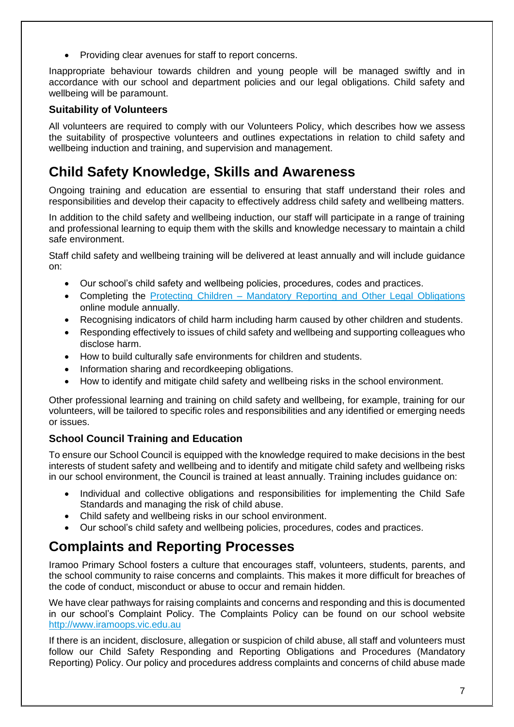• Providing clear avenues for staff to report concerns.

Inappropriate behaviour towards children and young people will be managed swiftly and in accordance with our school and department policies and our legal obligations. Child safety and wellbeing will be paramount.

#### **Suitability of Volunteers**

All volunteers are required to comply with our Volunteers Policy, which describes how we assess the suitability of prospective volunteers and outlines expectations in relation to child safety and wellbeing induction and training, and supervision and management.

# **Child Safety Knowledge, Skills and Awareness**

Ongoing training and education are essential to ensuring that staff understand their roles and responsibilities and develop their capacity to effectively address child safety and wellbeing matters.

In addition to the child safety and wellbeing induction, our staff will participate in a range of training and professional learning to equip them with the skills and knowledge necessary to maintain a child safe environment.

Staff child safety and wellbeing training will be delivered at least annually and will include guidance on:

- Our school's child safety and wellbeing policies, procedures, codes and practices.
- Completing the Protecting Children [Mandatory Reporting and Other](http://elearn.com.au/det/protectingchildren/) Legal Obligations online module annually.
- Recognising indicators of child harm including harm caused by other children and students.
- Responding effectively to issues of child safety and wellbeing and supporting colleagues who disclose harm.
- How to build culturally safe environments for children and students.
- Information sharing and recordkeeping obligations.
- How to identify and mitigate child safety and wellbeing risks in the school environment.

Other professional learning and training on child safety and wellbeing, for example, training for our volunteers, will be tailored to specific roles and responsibilities and any identified or emerging needs or issues.

#### **School Council Training and Education**

To ensure our School Council is equipped with the knowledge required to make decisions in the best interests of student safety and wellbeing and to identify and mitigate child safety and wellbeing risks in our school environment, the Council is trained at least annually. Training includes guidance on:

- Individual and collective obligations and responsibilities for implementing the Child Safe Standards and managing the risk of child abuse.
- Child safety and wellbeing risks in our school environment.
- Our school's child safety and wellbeing policies, procedures, codes and practices.

# **Complaints and Reporting Processes**

Iramoo Primary School fosters a culture that encourages staff, volunteers, students, parents, and the school community to raise concerns and complaints. This makes it more difficult for breaches of the code of conduct, misconduct or abuse to occur and remain hidden.

We have clear pathways for raising complaints and concerns and responding and this is documented in our school's Complaint Policy. The Complaints Policy can be found on our school website [http://www.iramoops.vic.edu.au](http://www.iramoops.vic.edu.au/)

If there is an incident, disclosure, allegation or suspicion of child abuse, all staff and volunteers must follow our Child Safety Responding and Reporting Obligations and Procedures (Mandatory Reporting) Policy. Our policy and procedures address complaints and concerns of child abuse made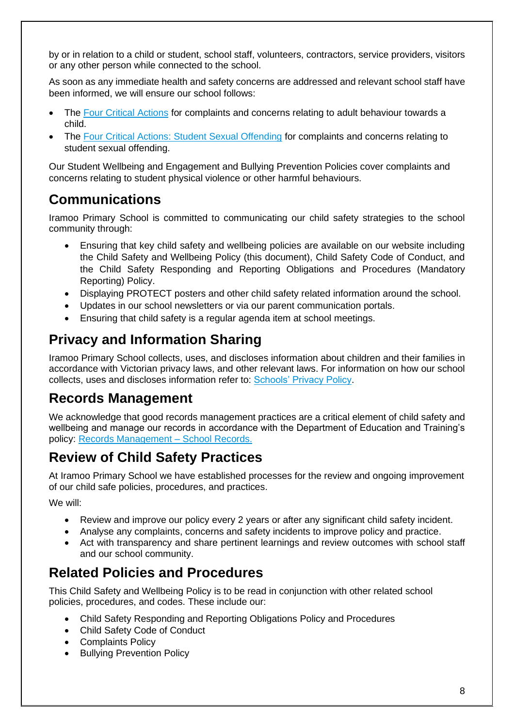by or in relation to a child or student, school staff, volunteers, contractors, service providers, visitors or any other person while connected to the school.

As soon as any immediate health and safety concerns are addressed and relevant school staff have been informed, we will ensure our school follows:

- The [Four Critical Actions](https://www.education.vic.gov.au/Documents/about/programs/health/protect/FourCriticalActions_ChildAbuse.pdf) for complaints and concerns relating to adult behaviour towards a child.
- The [Four Critical Actions: Student Sexual Offending](https://www.education.vic.gov.au/school/teachers/health/childprotection/Pages/stusexual.aspx) for complaints and concerns relating to student sexual offending.

Our Student Wellbeing and Engagement and Bullying Prevention Policies cover complaints and concerns relating to student physical violence or other harmful behaviours.

### **Communications**

Iramoo Primary School is committed to communicating our child safety strategies to the school community through:

- Ensuring that key child safety and wellbeing policies are available on our website including the Child Safety and Wellbeing Policy (this document), Child Safety Code of Conduct, and the Child Safety Responding and Reporting Obligations and Procedures (Mandatory Reporting) Policy.
- Displaying PROTECT posters and other child safety related information around the school.
- Updates in our school newsletters or via our parent communication portals.
- Ensuring that child safety is a regular agenda item at school meetings.

# **Privacy and Information Sharing**

Iramoo Primary School collects, uses, and discloses information about children and their families in accordance with Victorian privacy laws, and other relevant laws. For information on how our school collects, uses and discloses information refer to: [Schools' Privacy Policy.](https://www.education.vic.gov.au/Pages/schoolsprivacypolicy.aspx)

### **Records Management**

We acknowledge that good records management practices are a critical element of child safety and wellbeing and manage our records in accordance with the Department of Education and Training's policy: [Records Management –](https://www2.education.vic.gov.au/pal/records-management/policy) School Records.

### **Review of Child Safety Practices**

At Iramoo Primary School we have established processes for the review and ongoing improvement of our child safe policies, procedures, and practices.

We will:

- Review and improve our policy every 2 years or after any significant child safety incident.
- Analyse any complaints, concerns and safety incidents to improve policy and practice.
- Act with transparency and share pertinent learnings and review outcomes with school staff and our school community.

### **Related Policies and Procedures**

This Child Safety and Wellbeing Policy is to be read in conjunction with other related school policies, procedures, and codes. These include our:

- Child Safety Responding and Reporting Obligations Policy and Procedures
- Child Safety Code of Conduct
- Complaints Policy
- Bullying Prevention Policy